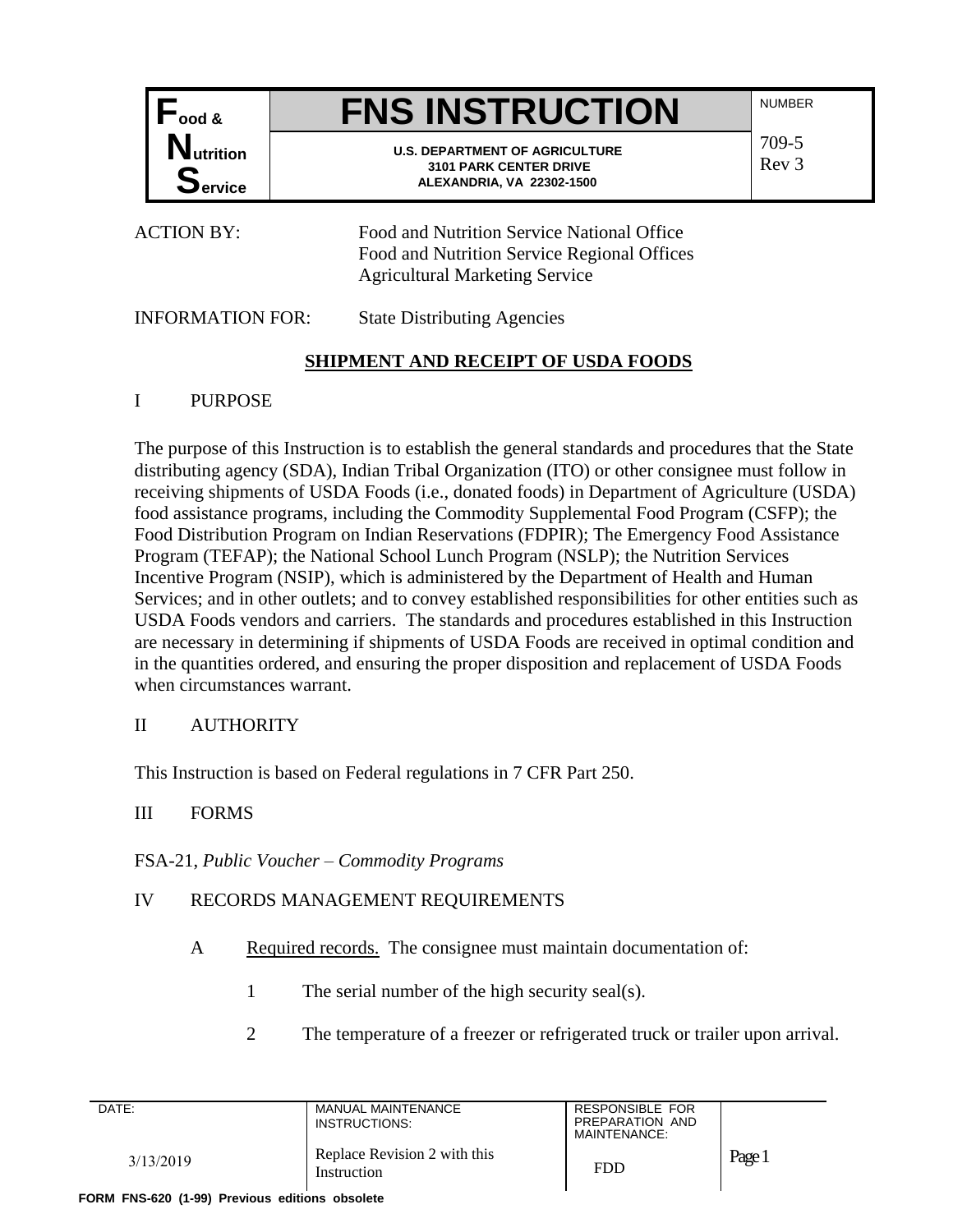

# **Food & FNS INSTRUCTION** NUMBER

**U.S. DEPARTMENT OF AGRICULTURE 3101 PARK CENTER DRIVE ALEXANDRIA, VA 22302-1500**

709-5 Rev 3

**ACTION BY:** 

Food and Nutrition Service National Office Food and Nutrition Service Regional Offices Agricultural Marketing Service

# INFORMATION FOR: State Distributing Agencies

# **SHIPMENT AND RECEIPT OF USDA FOODS**

### I PURPOSE

The purpose of this Instruction is to establish the general standards and procedures that the State distributing agency (SDA), Indian Tribal Organization (ITO) or other consignee must follow in receiving shipments of USDA Foods (i.e., donated foods) in Department of Agriculture (USDA) food assistance programs, including the Commodity Supplemental Food Program (CSFP); the Food Distribution Program on Indian Reservations (FDPIR); The Emergency Food Assistance Program (TEFAP); the National School Lunch Program (NSLP); the Nutrition Services Incentive Program (NSIP), which is administered by the Department of Health and Human Services; and in other outlets; and to convey established responsibilities for other entities such as USDA Foods vendors and carriers. The standards and procedures established in this Instruction are necessary in determining if shipments of USDA Foods are received in optimal condition and in the quantities ordered, and ensuring the proper disposition and replacement of USDA Foods when circumstances warrant.

#### II AUTHORITY

This Instruction is based on Federal regulations in 7 CFR Part 250.

# III FORMS

FSA-21, *Public Voucher – Commodity Programs*

# IV RECORDS MANAGEMENT REQUIREMENTS

- A Required records. The consignee must maintain documentation of:
	- 1 The serial number of the high security seal(s).
	- 2 The temperature of a freezer or refrigerated truck or trailer upon arrival.

| DATE:     | <b>MANUAL MAINTENANCE</b><br>INSTRUCTIONS:  | RESPONSIBLE FOR<br>PREPARATION AND<br>MAINTENANCE: |        |
|-----------|---------------------------------------------|----------------------------------------------------|--------|
| 3/13/2019 | Replace Revision 2 with this<br>Instruction | <b>FDD</b>                                         | Page 1 |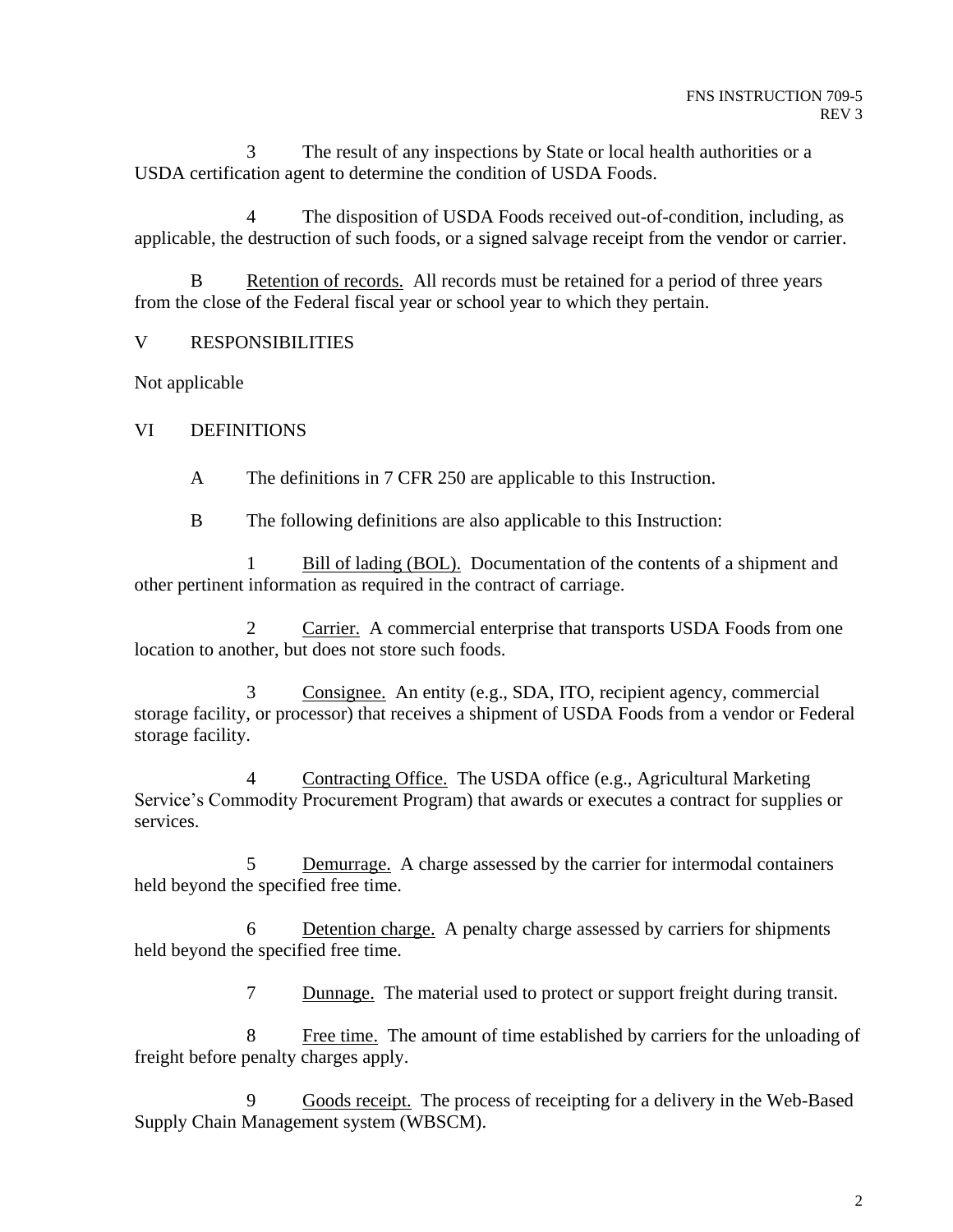3 The result of any inspections by State or local health authorities or a USDA certification agent to determine the condition of USDA Foods.

4 The disposition of USDA Foods received out-of-condition, including, as applicable, the destruction of such foods, or a signed salvage receipt from the vendor or carrier.

B Retention of records. All records must be retained for a period of three years from the close of the Federal fiscal year or school year to which they pertain.

V RESPONSIBILITIES

Not applicable

VI DEFINITIONS

A The definitions in 7 CFR 250 are applicable to this Instruction.

B The following definitions are also applicable to this Instruction:

1 Bill of lading (BOL). Documentation of the contents of a shipment and other pertinent information as required in the contract of carriage.

2 Carrier. A commercial enterprise that transports USDA Foods from one location to another, but does not store such foods.

3 Consignee. An entity (e.g., SDA, ITO, recipient agency, commercial storage facility, or processor) that receives a shipment of USDA Foods from a vendor or Federal storage facility.

Contracting Office. The USDA office (e.g., Agricultural Marketing Service's Commodity Procurement Program) that awards or executes a contract for supplies or services.

5 Demurrage. A charge assessed by the carrier for intermodal containers held beyond the specified free time.

6 Detention charge. A penalty charge assessed by carriers for shipments held beyond the specified free time.

7 Dunnage. The material used to protect or support freight during transit.

8 Free time. The amount of time established by carriers for the unloading of freight before penalty charges apply.

9 Goods receipt. The process of receipting for a delivery in the Web-Based Supply Chain Management system (WBSCM).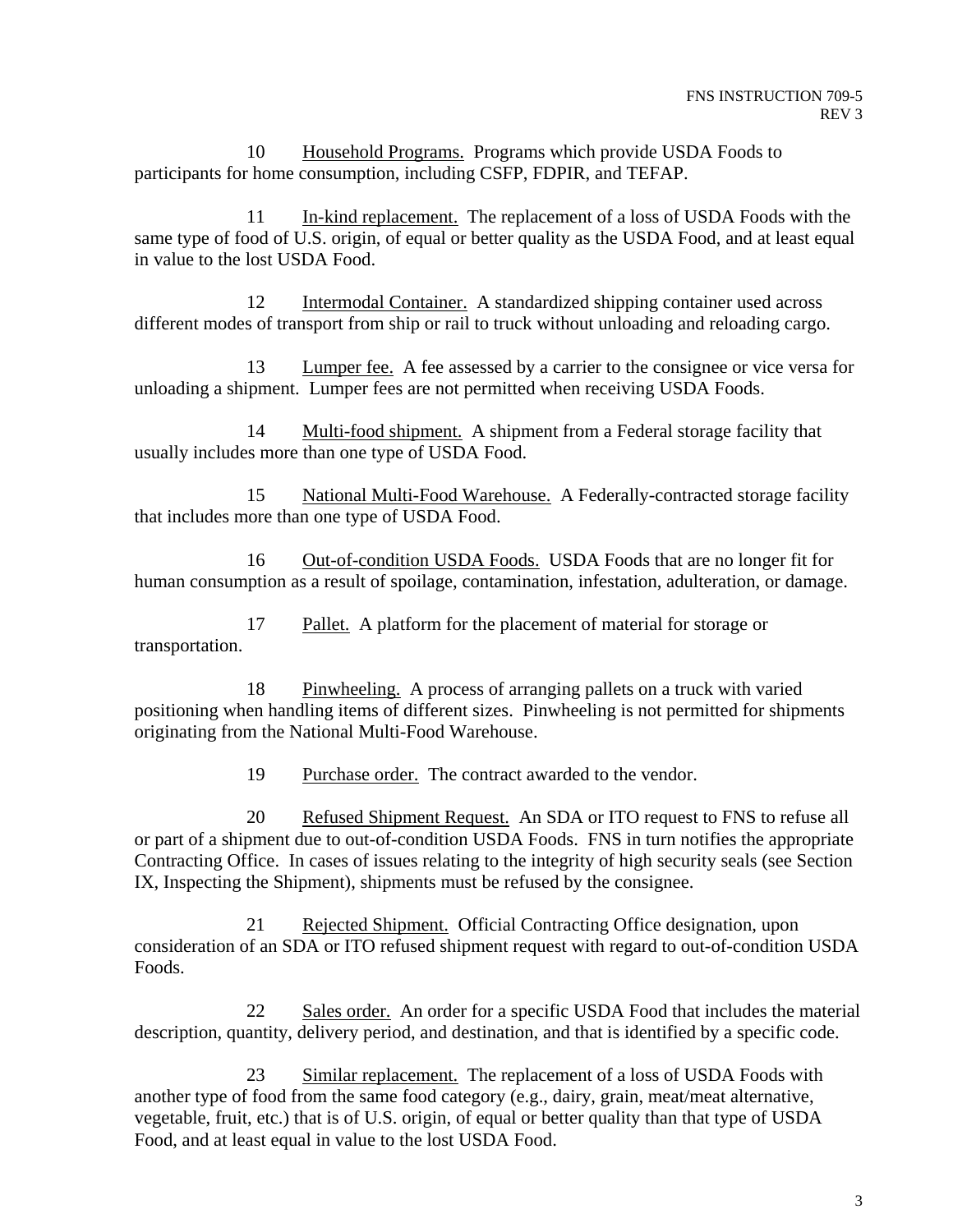10 Household Programs. Programs which provide USDA Foods to participants for home consumption, including CSFP, FDPIR, and TEFAP.

11 In-kind replacement. The replacement of a loss of USDA Foods with the same type of food of U.S. origin, of equal or better quality as the USDA Food, and at least equal in value to the lost USDA Food.

12 Intermodal Container. A standardized shipping container used across different modes of transport from ship or rail to truck without unloading and reloading cargo.

13 Lumper fee. A fee assessed by a carrier to the consignee or vice versa for unloading a shipment. Lumper fees are not permitted when receiving USDA Foods.

14 Multi-food shipment. A shipment from a Federal storage facility that usually includes more than one type of USDA Food.

15 National Multi-Food Warehouse. A Federally-contracted storage facility that includes more than one type of USDA Food.

16 Out-of-condition USDA Foods. USDA Foods that are no longer fit for human consumption as a result of spoilage, contamination, infestation, adulteration, or damage.

17 Pallet. A platform for the placement of material for storage or transportation.

18 Pinwheeling. A process of arranging pallets on a truck with varied positioning when handling items of different sizes. Pinwheeling is not permitted for shipments originating from the National Multi-Food Warehouse.

19 Purchase order. The contract awarded to the vendor.

20 Refused Shipment Request. An SDA or ITO request to FNS to refuse all or part of a shipment due to out-of-condition USDA Foods. FNS in turn notifies the appropriate Contracting Office. In cases of issues relating to the integrity of high security seals (see Section IX, Inspecting the Shipment), shipments must be refused by the consignee.

21 Rejected Shipment. Official Contracting Office designation, upon consideration of an SDA or ITO refused shipment request with regard to out-of-condition USDA Foods.

22 Sales order. An order for a specific USDA Food that includes the material description, quantity, delivery period, and destination, and that is identified by a specific code.

23 Similar replacement. The replacement of a loss of USDA Foods with another type of food from the same food category (e.g., dairy, grain, meat/meat alternative, vegetable, fruit, etc.) that is of U.S. origin, of equal or better quality than that type of USDA Food, and at least equal in value to the lost USDA Food.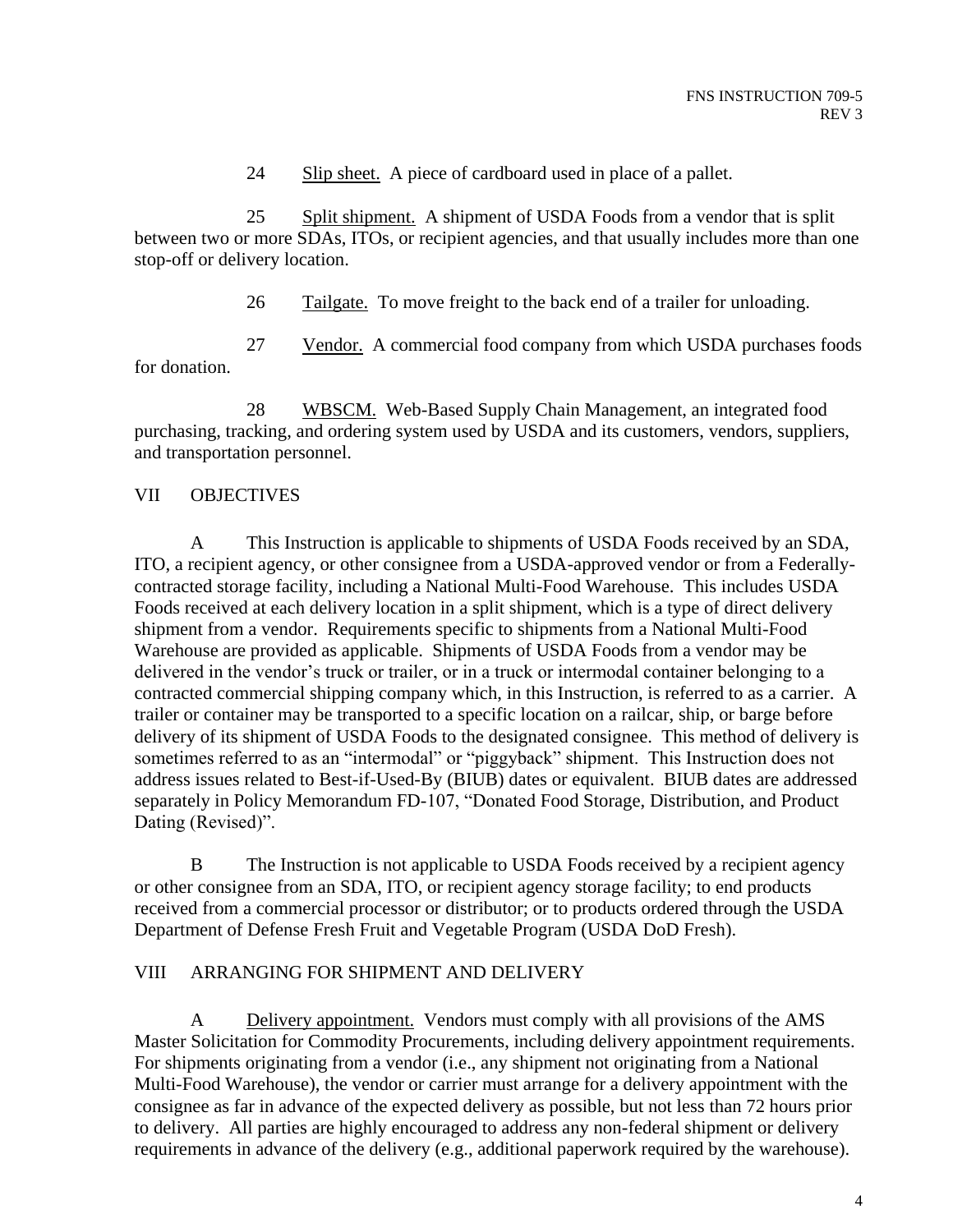24 Slip sheet. A piece of cardboard used in place of a pallet.

25 Split shipment. A shipment of USDA Foods from a vendor that is split between two or more SDAs, ITOs, or recipient agencies, and that usually includes more than one stop-off or delivery location.

26 Tailgate. To move freight to the back end of a trailer for unloading.

27 Vendor. A commercial food company from which USDA purchases foods for donation.

28 WBSCM. Web-Based Supply Chain Management, an integrated food purchasing, tracking, and ordering system used by USDA and its customers, vendors, suppliers, and transportation personnel.

#### VII OBJECTIVES

A This Instruction is applicable to shipments of USDA Foods received by an SDA, ITO, a recipient agency, or other consignee from a USDA-approved vendor or from a Federallycontracted storage facility, including a National Multi-Food Warehouse. This includes USDA Foods received at each delivery location in a split shipment, which is a type of direct delivery shipment from a vendor. Requirements specific to shipments from a National Multi-Food Warehouse are provided as applicable. Shipments of USDA Foods from a vendor may be delivered in the vendor's truck or trailer, or in a truck or intermodal container belonging to a contracted commercial shipping company which, in this Instruction, is referred to as a carrier. A trailer or container may be transported to a specific location on a railcar, ship, or barge before delivery of its shipment of USDA Foods to the designated consignee. This method of delivery is sometimes referred to as an "intermodal" or "piggyback" shipment. This Instruction does not address issues related to Best-if-Used-By (BIUB) dates or equivalent. BIUB dates are addressed separately in Policy Memorandum FD-107, "Donated Food Storage, Distribution, and Product Dating (Revised)".

B The Instruction is not applicable to USDA Foods received by a recipient agency or other consignee from an SDA, ITO, or recipient agency storage facility; to end products received from a commercial processor or distributor; or to products ordered through the USDA Department of Defense Fresh Fruit and Vegetable Program (USDA DoD Fresh).

#### VIII ARRANGING FOR SHIPMENT AND DELIVERY

A Delivery appointment. Vendors must comply with all provisions of the AMS Master Solicitation for Commodity Procurements, including delivery appointment requirements. For shipments originating from a vendor (i.e., any shipment not originating from a National Multi-Food Warehouse), the vendor or carrier must arrange for a delivery appointment with the consignee as far in advance of the expected delivery as possible, but not less than 72 hours prior to delivery. All parties are highly encouraged to address any non-federal shipment or delivery requirements in advance of the delivery (e.g., additional paperwork required by the warehouse).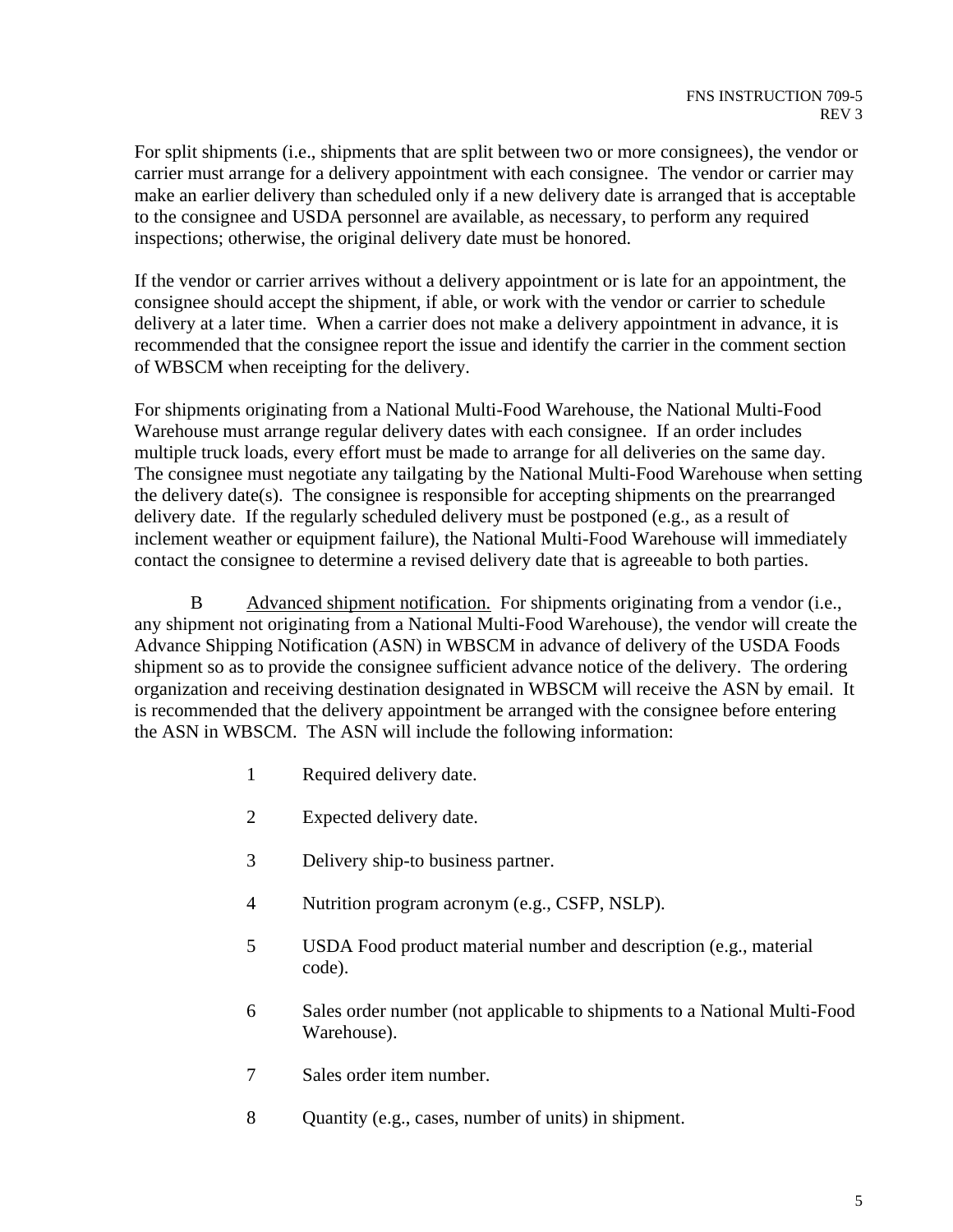For split shipments (i.e., shipments that are split between two or more consignees), the vendor or carrier must arrange for a delivery appointment with each consignee. The vendor or carrier may make an earlier delivery than scheduled only if a new delivery date is arranged that is acceptable to the consignee and USDA personnel are available, as necessary, to perform any required inspections; otherwise, the original delivery date must be honored.

If the vendor or carrier arrives without a delivery appointment or is late for an appointment, the consignee should accept the shipment, if able, or work with the vendor or carrier to schedule delivery at a later time. When a carrier does not make a delivery appointment in advance, it is recommended that the consignee report the issue and identify the carrier in the comment section of WBSCM when receipting for the delivery.

For shipments originating from a National Multi-Food Warehouse, the National Multi-Food Warehouse must arrange regular delivery dates with each consignee. If an order includes multiple truck loads, every effort must be made to arrange for all deliveries on the same day. The consignee must negotiate any tailgating by the National Multi-Food Warehouse when setting the delivery date(s). The consignee is responsible for accepting shipments on the prearranged delivery date. If the regularly scheduled delivery must be postponed (e.g., as a result of inclement weather or equipment failure), the National Multi-Food Warehouse will immediately contact the consignee to determine a revised delivery date that is agreeable to both parties.

B Advanced shipment notification. For shipments originating from a vendor (i.e., any shipment not originating from a National Multi-Food Warehouse), the vendor will create the Advance Shipping Notification (ASN) in WBSCM in advance of delivery of the USDA Foods shipment so as to provide the consignee sufficient advance notice of the delivery. The ordering organization and receiving destination designated in WBSCM will receive the ASN by email. It is recommended that the delivery appointment be arranged with the consignee before entering the ASN in WBSCM. The ASN will include the following information:

- 1 Required delivery date.
- 2 Expected delivery date.
- 3 Delivery ship-to business partner.
- 4 Nutrition program acronym (e.g., CSFP, NSLP).
- 5 USDA Food product material number and description (e.g., material code).
- 6 Sales order number (not applicable to shipments to a National Multi-Food Warehouse).
- 7 Sales order item number.
- 8 Quantity (e.g., cases, number of units) in shipment.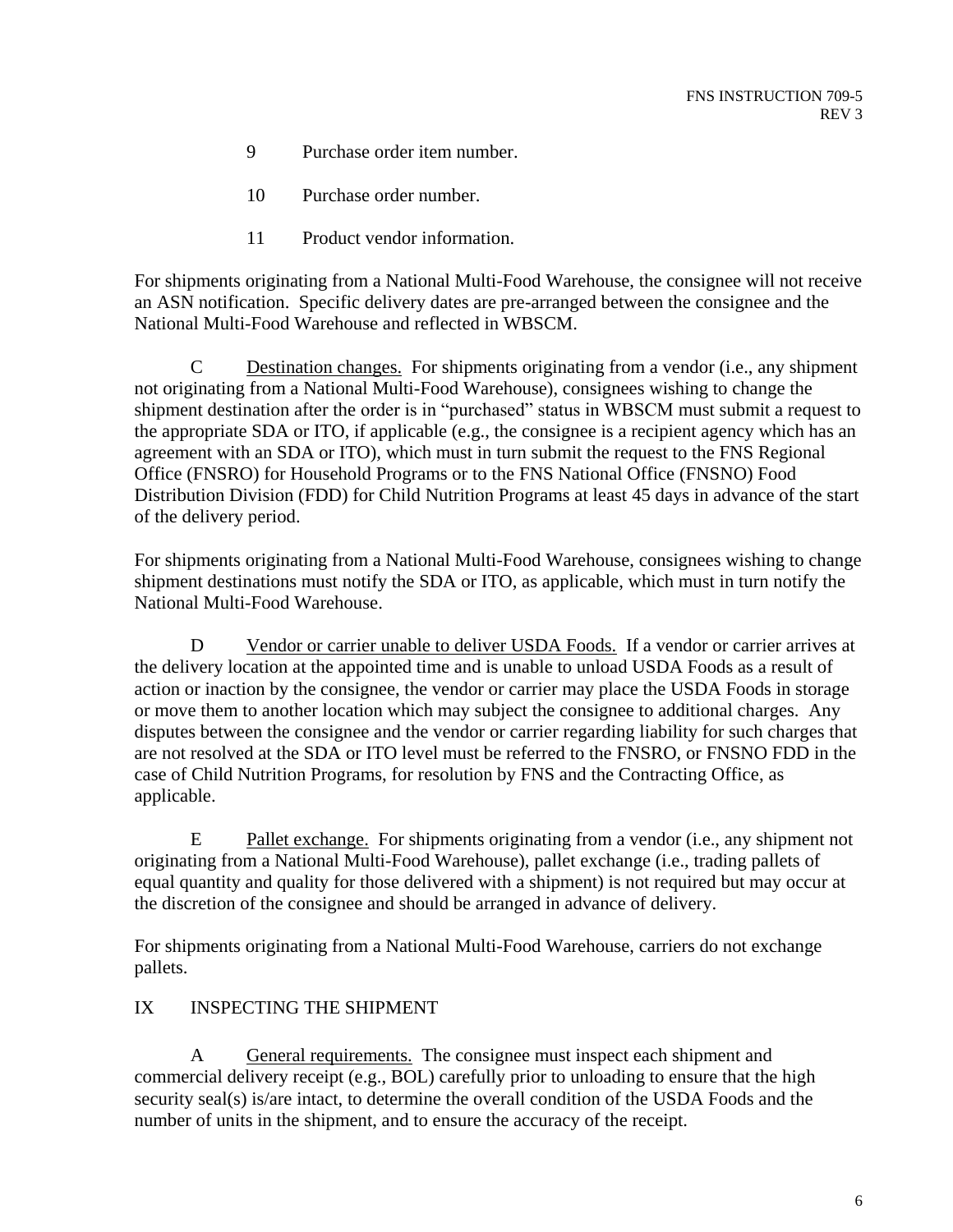- 9 Purchase order item number.
- 10 Purchase order number.
- 11 Product vendor information.

For shipments originating from a National Multi-Food Warehouse, the consignee will not receive an ASN notification. Specific delivery dates are pre-arranged between the consignee and the National Multi-Food Warehouse and reflected in WBSCM.

C Destination changes. For shipments originating from a vendor (i.e., any shipment not originating from a National Multi-Food Warehouse), consignees wishing to change the shipment destination after the order is in "purchased" status in WBSCM must submit a request to the appropriate SDA or ITO, if applicable (e.g., the consignee is a recipient agency which has an agreement with an SDA or ITO), which must in turn submit the request to the FNS Regional Office (FNSRO) for Household Programs or to the FNS National Office (FNSNO) Food Distribution Division (FDD) for Child Nutrition Programs at least 45 days in advance of the start of the delivery period.

For shipments originating from a National Multi-Food Warehouse, consignees wishing to change shipment destinations must notify the SDA or ITO, as applicable, which must in turn notify the National Multi-Food Warehouse.

D Vendor or carrier unable to deliver USDA Foods. If a vendor or carrier arrives at the delivery location at the appointed time and is unable to unload USDA Foods as a result of action or inaction by the consignee, the vendor or carrier may place the USDA Foods in storage or move them to another location which may subject the consignee to additional charges. Any disputes between the consignee and the vendor or carrier regarding liability for such charges that are not resolved at the SDA or ITO level must be referred to the FNSRO, or FNSNO FDD in the case of Child Nutrition Programs, for resolution by FNS and the Contracting Office, as applicable.

E Pallet exchange. For shipments originating from a vendor (i.e., any shipment not originating from a National Multi-Food Warehouse), pallet exchange (i.e., trading pallets of equal quantity and quality for those delivered with a shipment) is not required but may occur at the discretion of the consignee and should be arranged in advance of delivery.

For shipments originating from a National Multi-Food Warehouse, carriers do not exchange pallets.

#### IX INSPECTING THE SHIPMENT

A General requirements. The consignee must inspect each shipment and commercial delivery receipt (e.g., BOL) carefully prior to unloading to ensure that the high security seal(s) is/are intact, to determine the overall condition of the USDA Foods and the number of units in the shipment, and to ensure the accuracy of the receipt.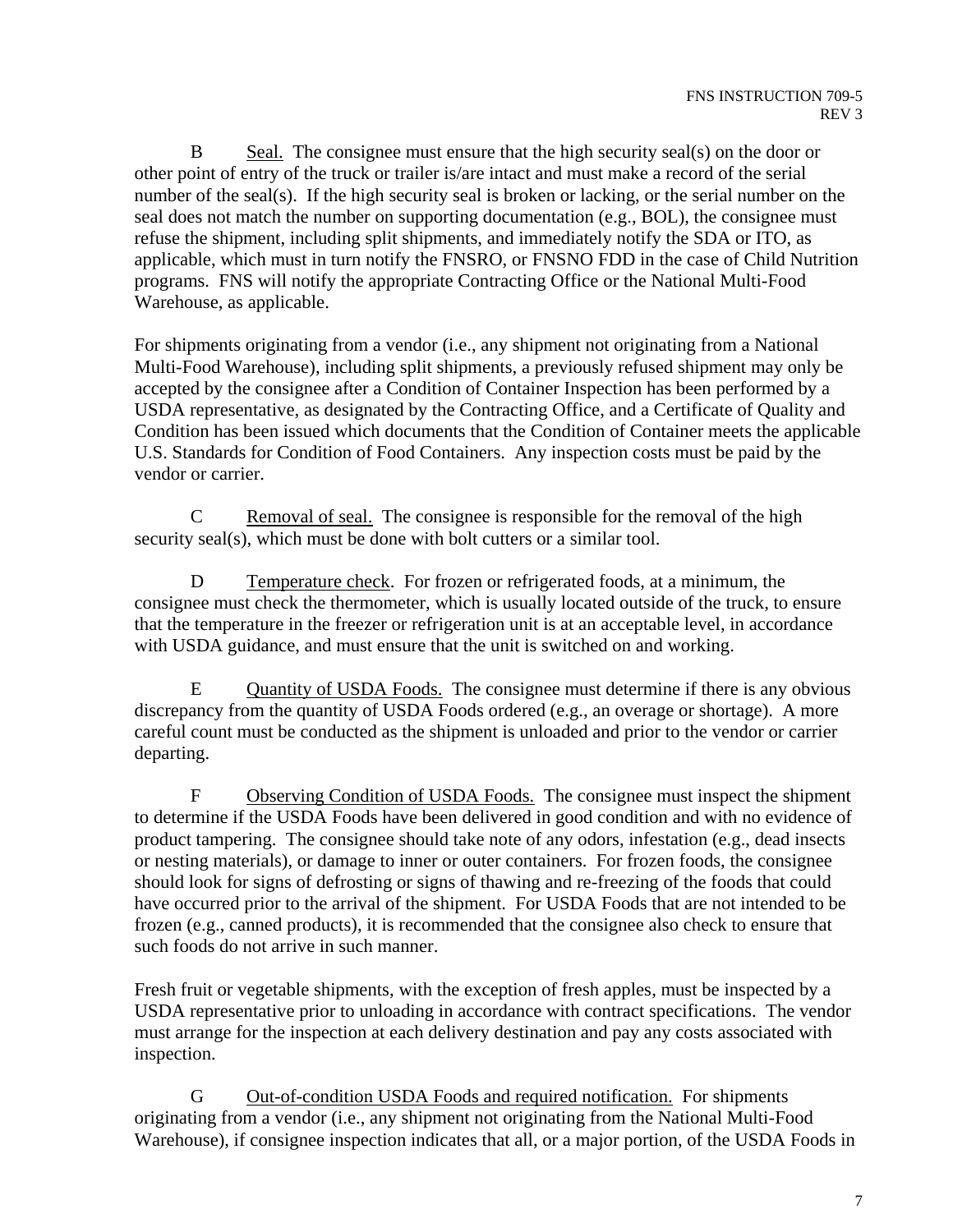B Seal. The consignee must ensure that the high security seal(s) on the door or other point of entry of the truck or trailer is/are intact and must make a record of the serial number of the seal(s). If the high security seal is broken or lacking, or the serial number on the seal does not match the number on supporting documentation (e.g., BOL), the consignee must refuse the shipment, including split shipments, and immediately notify the SDA or ITO, as applicable, which must in turn notify the FNSRO, or FNSNO FDD in the case of Child Nutrition programs. FNS will notify the appropriate Contracting Office or the National Multi-Food Warehouse, as applicable.

For shipments originating from a vendor (i.e., any shipment not originating from a National Multi-Food Warehouse), including split shipments, a previously refused shipment may only be accepted by the consignee after a Condition of Container Inspection has been performed by a USDA representative, as designated by the Contracting Office, and a Certificate of Quality and Condition has been issued which documents that the Condition of Container meets the applicable U.S. Standards for Condition of Food Containers. Any inspection costs must be paid by the vendor or carrier.

C Removal of seal. The consignee is responsible for the removal of the high security seal(s), which must be done with bolt cutters or a similar tool.

D Temperature check. For frozen or refrigerated foods, at a minimum, the consignee must check the thermometer, which is usually located outside of the truck, to ensure that the temperature in the freezer or refrigeration unit is at an acceptable level, in accordance with USDA guidance, and must ensure that the unit is switched on and working.

E Quantity of USDA Foods. The consignee must determine if there is any obvious discrepancy from the quantity of USDA Foods ordered (e.g., an overage or shortage). A more careful count must be conducted as the shipment is unloaded and prior to the vendor or carrier departing.

F Observing Condition of USDA Foods. The consignee must inspect the shipment to determine if the USDA Foods have been delivered in good condition and with no evidence of product tampering. The consignee should take note of any odors, infestation (e.g., dead insects or nesting materials), or damage to inner or outer containers. For frozen foods, the consignee should look for signs of defrosting or signs of thawing and re-freezing of the foods that could have occurred prior to the arrival of the shipment. For USDA Foods that are not intended to be frozen (e.g., canned products), it is recommended that the consignee also check to ensure that such foods do not arrive in such manner.

Fresh fruit or vegetable shipments, with the exception of fresh apples, must be inspected by a USDA representative prior to unloading in accordance with contract specifications. The vendor must arrange for the inspection at each delivery destination and pay any costs associated with inspection.

G Out-of-condition USDA Foods and required notification. For shipments originating from a vendor (i.e., any shipment not originating from the National Multi-Food Warehouse), if consignee inspection indicates that all, or a major portion, of the USDA Foods in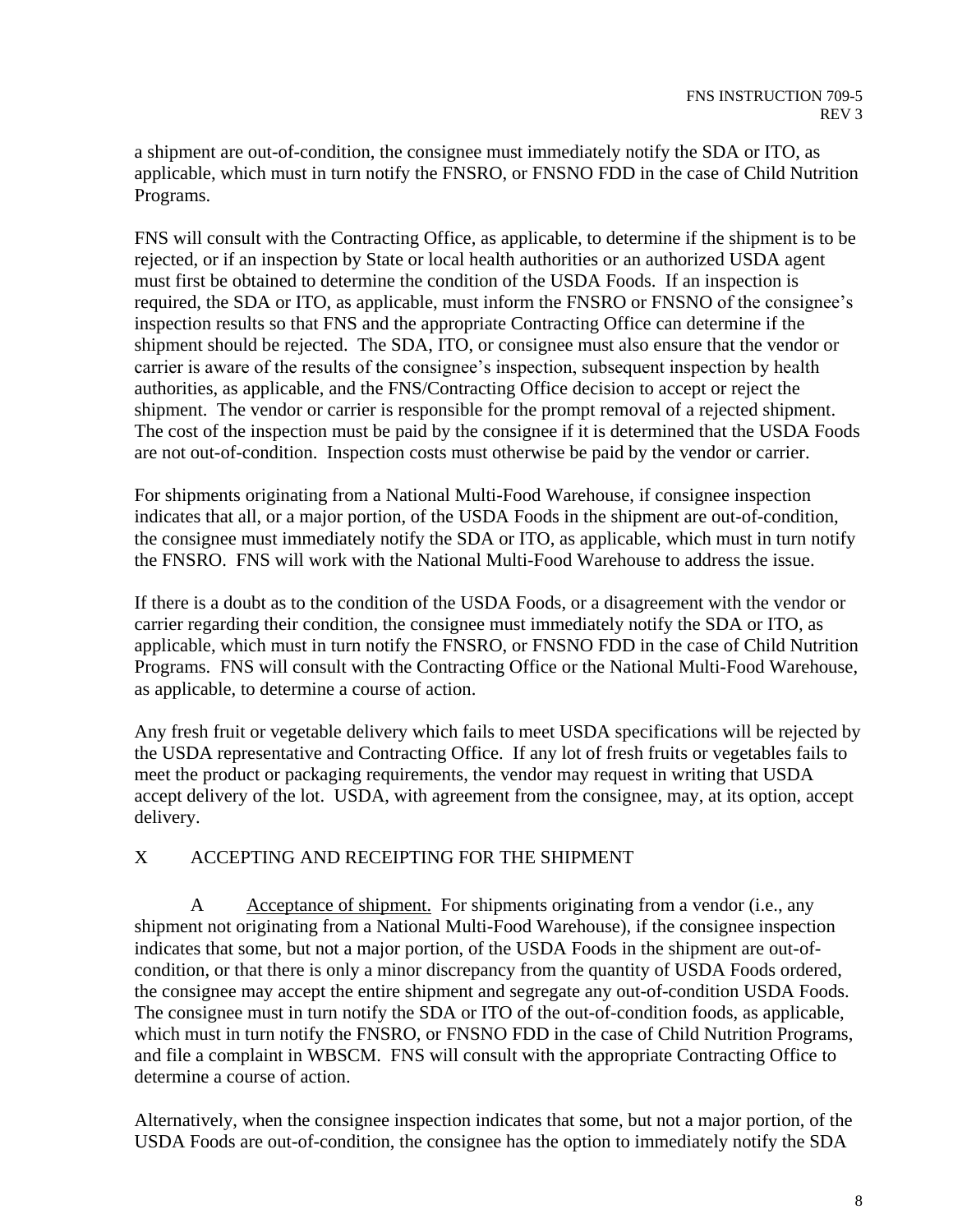a shipment are out-of-condition, the consignee must immediately notify the SDA or ITO, as applicable, which must in turn notify the FNSRO, or FNSNO FDD in the case of Child Nutrition Programs.

FNS will consult with the Contracting Office, as applicable, to determine if the shipment is to be rejected, or if an inspection by State or local health authorities or an authorized USDA agent must first be obtained to determine the condition of the USDA Foods. If an inspection is required, the SDA or ITO, as applicable, must inform the FNSRO or FNSNO of the consignee's inspection results so that FNS and the appropriate Contracting Office can determine if the shipment should be rejected. The SDA, ITO, or consignee must also ensure that the vendor or carrier is aware of the results of the consignee's inspection, subsequent inspection by health authorities, as applicable, and the FNS/Contracting Office decision to accept or reject the shipment. The vendor or carrier is responsible for the prompt removal of a rejected shipment. The cost of the inspection must be paid by the consignee if it is determined that the USDA Foods are not out-of-condition. Inspection costs must otherwise be paid by the vendor or carrier.

For shipments originating from a National Multi-Food Warehouse, if consignee inspection indicates that all, or a major portion, of the USDA Foods in the shipment are out-of-condition, the consignee must immediately notify the SDA or ITO, as applicable, which must in turn notify the FNSRO. FNS will work with the National Multi-Food Warehouse to address the issue.

If there is a doubt as to the condition of the USDA Foods, or a disagreement with the vendor or carrier regarding their condition, the consignee must immediately notify the SDA or ITO, as applicable, which must in turn notify the FNSRO, or FNSNO FDD in the case of Child Nutrition Programs. FNS will consult with the Contracting Office or the National Multi-Food Warehouse, as applicable, to determine a course of action.

Any fresh fruit or vegetable delivery which fails to meet USDA specifications will be rejected by the USDA representative and Contracting Office. If any lot of fresh fruits or vegetables fails to meet the product or packaging requirements, the vendor may request in writing that USDA accept delivery of the lot. USDA, with agreement from the consignee, may, at its option, accept delivery.

#### X ACCEPTING AND RECEIPTING FOR THE SHIPMENT

A Acceptance of shipment. For shipments originating from a vendor (i.e., any shipment not originating from a National Multi-Food Warehouse), if the consignee inspection indicates that some, but not a major portion, of the USDA Foods in the shipment are out-ofcondition, or that there is only a minor discrepancy from the quantity of USDA Foods ordered, the consignee may accept the entire shipment and segregate any out-of-condition USDA Foods. The consignee must in turn notify the SDA or ITO of the out-of-condition foods, as applicable, which must in turn notify the FNSRO, or FNSNO FDD in the case of Child Nutrition Programs, and file a complaint in WBSCM. FNS will consult with the appropriate Contracting Office to determine a course of action.

Alternatively, when the consignee inspection indicates that some, but not a major portion, of the USDA Foods are out-of-condition, the consignee has the option to immediately notify the SDA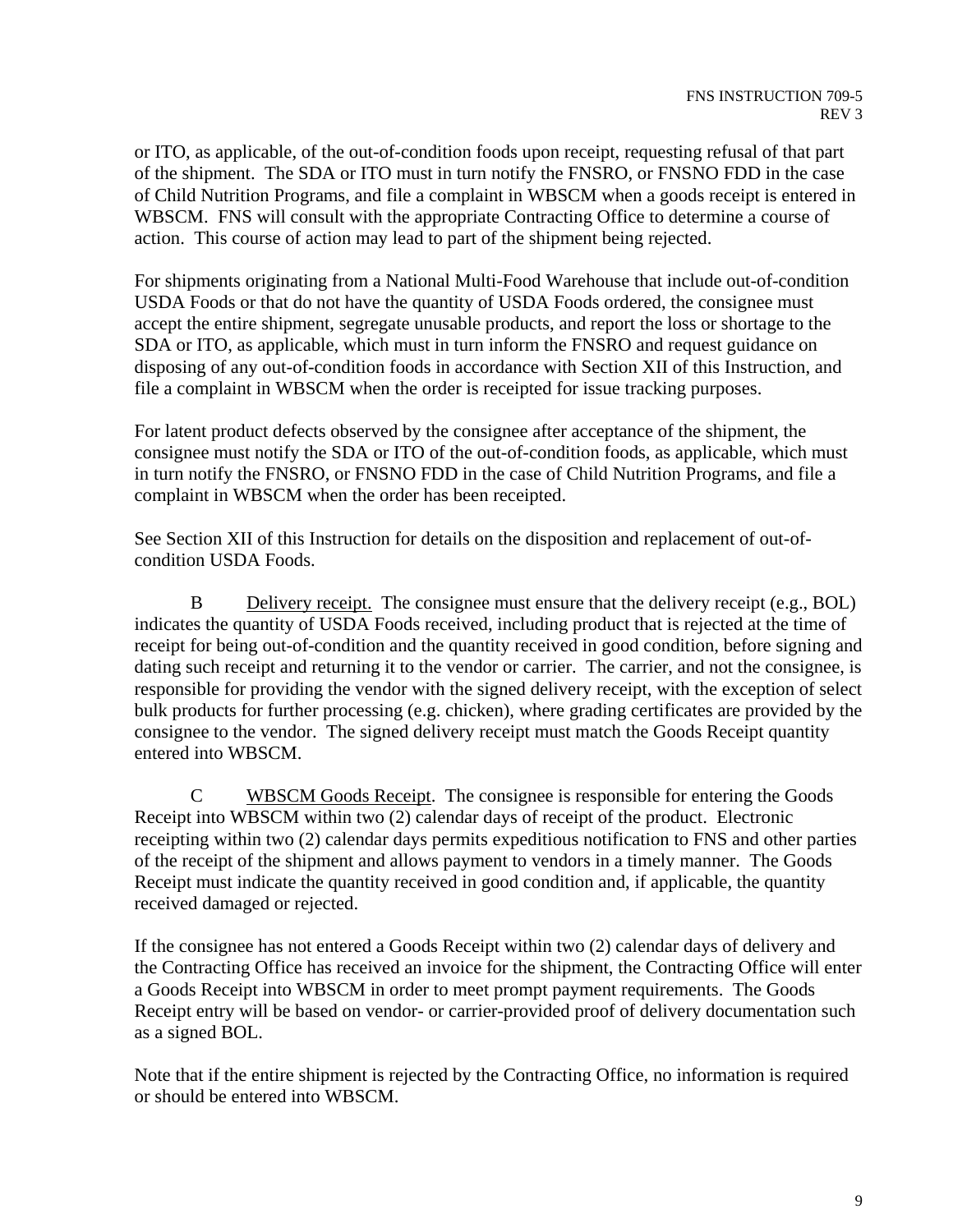or ITO, as applicable, of the out-of-condition foods upon receipt, requesting refusal of that part of the shipment. The SDA or ITO must in turn notify the FNSRO, or FNSNO FDD in the case of Child Nutrition Programs, and file a complaint in WBSCM when a goods receipt is entered in WBSCM. FNS will consult with the appropriate Contracting Office to determine a course of action. This course of action may lead to part of the shipment being rejected.

For shipments originating from a National Multi-Food Warehouse that include out-of-condition USDA Foods or that do not have the quantity of USDA Foods ordered, the consignee must accept the entire shipment, segregate unusable products, and report the loss or shortage to the SDA or ITO, as applicable, which must in turn inform the FNSRO and request guidance on disposing of any out-of-condition foods in accordance with Section XII of this Instruction, and file a complaint in WBSCM when the order is receipted for issue tracking purposes.

For latent product defects observed by the consignee after acceptance of the shipment, the consignee must notify the SDA or ITO of the out-of-condition foods, as applicable, which must in turn notify the FNSRO, or FNSNO FDD in the case of Child Nutrition Programs, and file a complaint in WBSCM when the order has been receipted.

See Section XII of this Instruction for details on the disposition and replacement of out-ofcondition USDA Foods.

B Delivery receipt. The consignee must ensure that the delivery receipt (e.g., BOL) indicates the quantity of USDA Foods received, including product that is rejected at the time of receipt for being out-of-condition and the quantity received in good condition, before signing and dating such receipt and returning it to the vendor or carrier. The carrier, and not the consignee, is responsible for providing the vendor with the signed delivery receipt, with the exception of select bulk products for further processing (e.g. chicken), where grading certificates are provided by the consignee to the vendor. The signed delivery receipt must match the Goods Receipt quantity entered into WBSCM.

C WBSCM Goods Receipt. The consignee is responsible for entering the Goods Receipt into WBSCM within two (2) calendar days of receipt of the product. Electronic receipting within two (2) calendar days permits expeditious notification to FNS and other parties of the receipt of the shipment and allows payment to vendors in a timely manner. The Goods Receipt must indicate the quantity received in good condition and, if applicable, the quantity received damaged or rejected.

If the consignee has not entered a Goods Receipt within two (2) calendar days of delivery and the Contracting Office has received an invoice for the shipment, the Contracting Office will enter a Goods Receipt into WBSCM in order to meet prompt payment requirements. The Goods Receipt entry will be based on vendor- or carrier-provided proof of delivery documentation such as a signed BOL.

Note that if the entire shipment is rejected by the Contracting Office, no information is required or should be entered into WBSCM.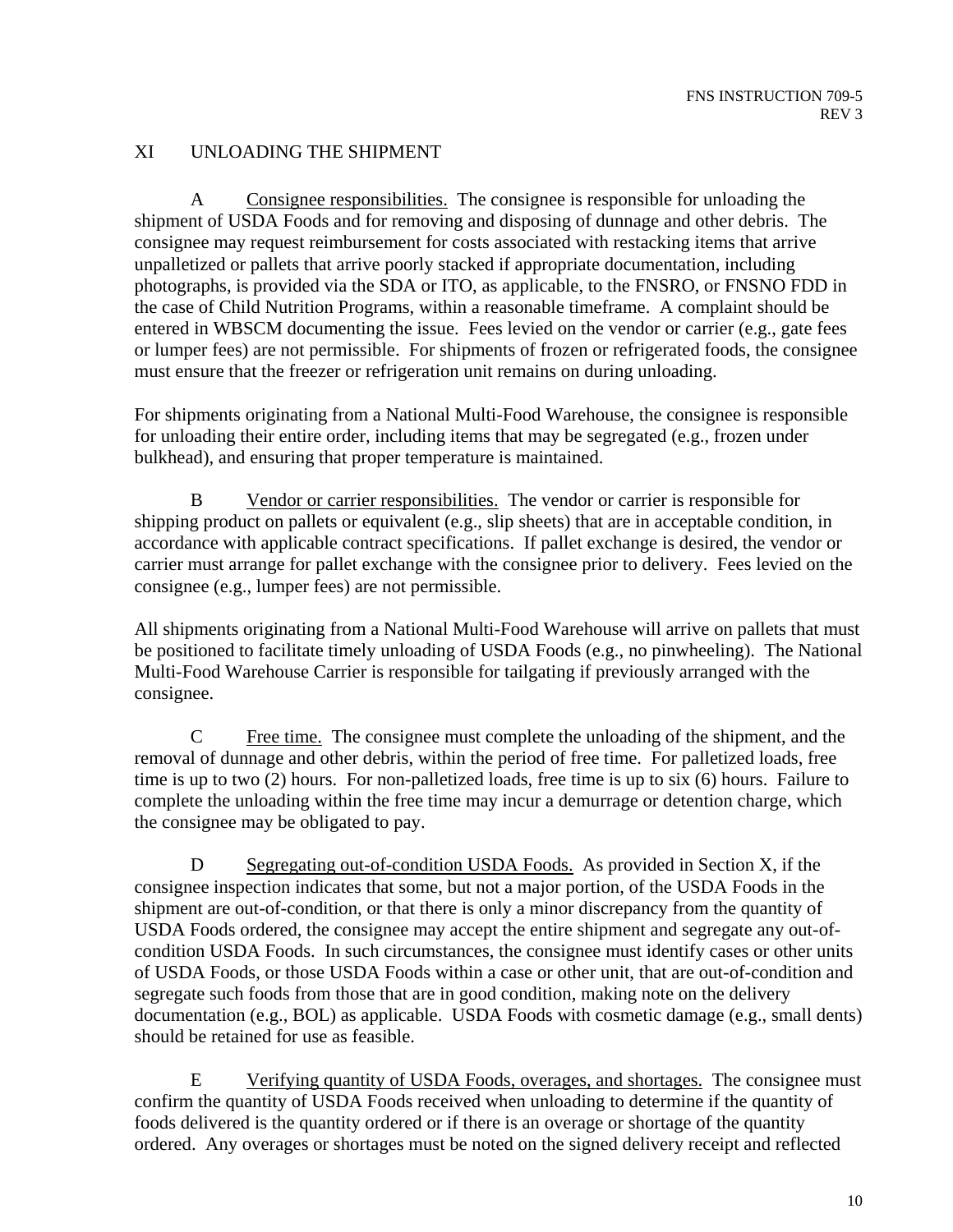#### XI UNLOADING THE SHIPMENT

A Consignee responsibilities. The consignee is responsible for unloading the shipment of USDA Foods and for removing and disposing of dunnage and other debris. The consignee may request reimbursement for costs associated with restacking items that arrive unpalletized or pallets that arrive poorly stacked if appropriate documentation, including photographs, is provided via the SDA or ITO, as applicable, to the FNSRO, or FNSNO FDD in the case of Child Nutrition Programs, within a reasonable timeframe. A complaint should be entered in WBSCM documenting the issue. Fees levied on the vendor or carrier (e.g., gate fees or lumper fees) are not permissible. For shipments of frozen or refrigerated foods, the consignee must ensure that the freezer or refrigeration unit remains on during unloading.

For shipments originating from a National Multi-Food Warehouse, the consignee is responsible for unloading their entire order, including items that may be segregated (e.g., frozen under bulkhead), and ensuring that proper temperature is maintained.

B Vendor or carrier responsibilities. The vendor or carrier is responsible for shipping product on pallets or equivalent (e.g., slip sheets) that are in acceptable condition, in accordance with applicable contract specifications. If pallet exchange is desired, the vendor or carrier must arrange for pallet exchange with the consignee prior to delivery. Fees levied on the consignee (e.g., lumper fees) are not permissible.

All shipments originating from a National Multi-Food Warehouse will arrive on pallets that must be positioned to facilitate timely unloading of USDA Foods (e.g., no pinwheeling). The National Multi-Food Warehouse Carrier is responsible for tailgating if previously arranged with the consignee.

C Free time. The consignee must complete the unloading of the shipment, and the removal of dunnage and other debris, within the period of free time. For palletized loads, free time is up to two (2) hours. For non-palletized loads, free time is up to six (6) hours. Failure to complete the unloading within the free time may incur a demurrage or detention charge, which the consignee may be obligated to pay.

D Segregating out-of-condition USDA Foods. As provided in Section X, if the consignee inspection indicates that some, but not a major portion, of the USDA Foods in the shipment are out-of-condition, or that there is only a minor discrepancy from the quantity of USDA Foods ordered, the consignee may accept the entire shipment and segregate any out-ofcondition USDA Foods. In such circumstances, the consignee must identify cases or other units of USDA Foods, or those USDA Foods within a case or other unit, that are out-of-condition and segregate such foods from those that are in good condition, making note on the delivery documentation (e.g., BOL) as applicable. USDA Foods with cosmetic damage (e.g., small dents) should be retained for use as feasible.

E Verifying quantity of USDA Foods, overages, and shortages. The consignee must confirm the quantity of USDA Foods received when unloading to determine if the quantity of foods delivered is the quantity ordered or if there is an overage or shortage of the quantity ordered. Any overages or shortages must be noted on the signed delivery receipt and reflected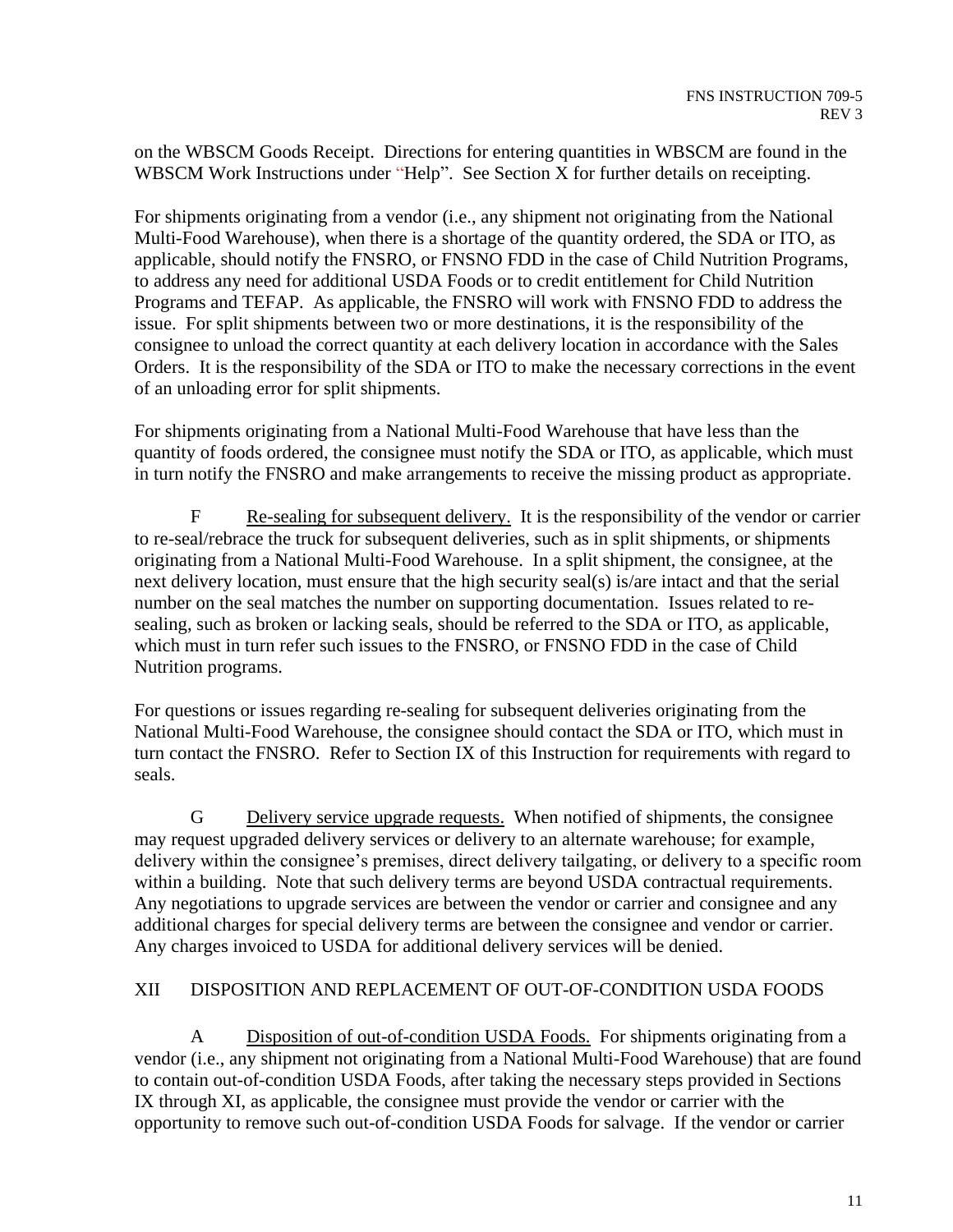on the WBSCM Goods Receipt. Directions for entering quantities in WBSCM are found in the WBSCM Work Instructions under "Help". See Section X for further details on receipting.

For shipments originating from a vendor (i.e., any shipment not originating from the National Multi-Food Warehouse), when there is a shortage of the quantity ordered, the SDA or ITO, as applicable, should notify the FNSRO, or FNSNO FDD in the case of Child Nutrition Programs, to address any need for additional USDA Foods or to credit entitlement for Child Nutrition Programs and TEFAP. As applicable, the FNSRO will work with FNSNO FDD to address the issue. For split shipments between two or more destinations, it is the responsibility of the consignee to unload the correct quantity at each delivery location in accordance with the Sales Orders. It is the responsibility of the SDA or ITO to make the necessary corrections in the event of an unloading error for split shipments.

For shipments originating from a National Multi-Food Warehouse that have less than the quantity of foods ordered, the consignee must notify the SDA or ITO, as applicable, which must in turn notify the FNSRO and make arrangements to receive the missing product as appropriate.

F Re-sealing for subsequent delivery. It is the responsibility of the vendor or carrier to re-seal/rebrace the truck for subsequent deliveries, such as in split shipments, or shipments originating from a National Multi-Food Warehouse. In a split shipment, the consignee, at the next delivery location, must ensure that the high security seal(s) is/are intact and that the serial number on the seal matches the number on supporting documentation. Issues related to resealing, such as broken or lacking seals, should be referred to the SDA or ITO, as applicable, which must in turn refer such issues to the FNSRO, or FNSNO FDD in the case of Child Nutrition programs.

For questions or issues regarding re-sealing for subsequent deliveries originating from the National Multi-Food Warehouse, the consignee should contact the SDA or ITO, which must in turn contact the FNSRO. Refer to Section IX of this Instruction for requirements with regard to seals.

G Delivery service upgrade requests. When notified of shipments, the consignee may request upgraded delivery services or delivery to an alternate warehouse; for example, delivery within the consignee's premises, direct delivery tailgating, or delivery to a specific room within a building. Note that such delivery terms are beyond USDA contractual requirements. Any negotiations to upgrade services are between the vendor or carrier and consignee and any additional charges for special delivery terms are between the consignee and vendor or carrier. Any charges invoiced to USDA for additional delivery services will be denied.

#### XII DISPOSITION AND REPLACEMENT OF OUT-OF-CONDITION USDA FOODS

A Disposition of out-of-condition USDA Foods. For shipments originating from a vendor (i.e., any shipment not originating from a National Multi-Food Warehouse) that are found to contain out-of-condition USDA Foods, after taking the necessary steps provided in Sections IX through XI, as applicable, the consignee must provide the vendor or carrier with the opportunity to remove such out-of-condition USDA Foods for salvage. If the vendor or carrier